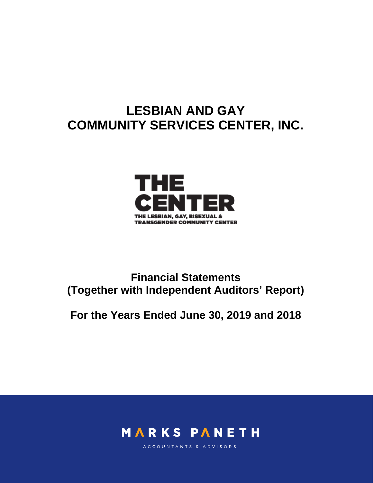# **LESBIAN AND GAY COMMUNITY SERVICES CENTER, INC.**



# **Financial Statements (Together with Independent Auditors' Report)**

# **For the Years Ended June 30, 2019 and 2018**



ACCOUNTANTS & ADVISORS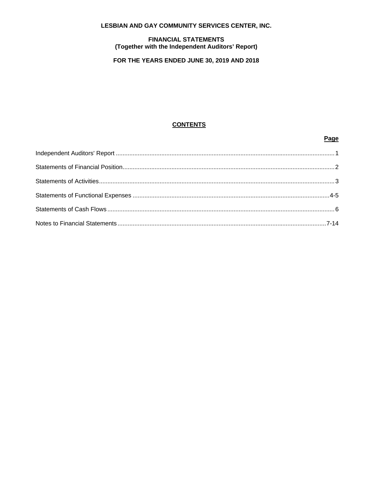# LESBIAN AND GAY COMMUNITY SERVICES CENTER, INC.

# **FINANCIAL STATEMENTS** (Together with the Independent Auditors' Report)

# FOR THE YEARS ENDED JUNE 30, 2019 AND 2018

# **CONTENTS**

# Page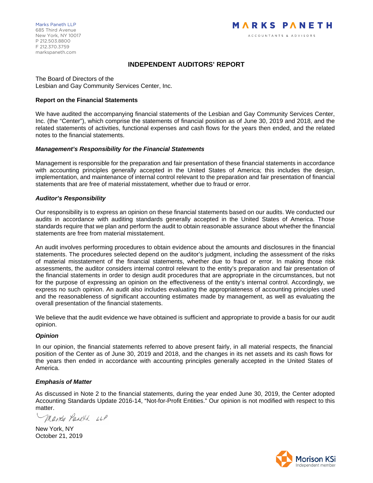# **INDEPENDENT AUDITORS' REPORT**

The Board of Directors of the Lesbian and Gay Community Services Center, Inc.

### **Report on the Financial Statements**

We have audited the accompanying financial statements of the Lesbian and Gay Community Services Center, Inc. (the "Center"), which comprise the statements of financial position as of June 30, 2019 and 2018, and the related statements of activities, functional expenses and cash flows for the years then ended, and the related notes to the financial statements.

# *Management's Responsibility for the Financial Statements*

Management is responsible for the preparation and fair presentation of these financial statements in accordance with accounting principles generally accepted in the United States of America; this includes the design, implementation, and maintenance of internal control relevant to the preparation and fair presentation of financial statements that are free of material misstatement, whether due to fraud or error.

# *Auditor's Responsibility*

Our responsibility is to express an opinion on these financial statements based on our audits. We conducted our audits in accordance with auditing standards generally accepted in the United States of America. Those standards require that we plan and perform the audit to obtain reasonable assurance about whether the financial statements are free from material misstatement.

An audit involves performing procedures to obtain evidence about the amounts and disclosures in the financial statements. The procedures selected depend on the auditor's judgment, including the assessment of the risks of material misstatement of the financial statements, whether due to fraud or error. In making those risk assessments, the auditor considers internal control relevant to the entity's preparation and fair presentation of the financial statements in order to design audit procedures that are appropriate in the circumstances, but not for the purpose of expressing an opinion on the effectiveness of the entity's internal control. Accordingly, we express no such opinion. An audit also includes evaluating the appropriateness of accounting principles used and the reasonableness of significant accounting estimates made by management, as well as evaluating the overall presentation of the financial statements.

We believe that the audit evidence we have obtained is sufficient and appropriate to provide a basis for our audit opinion.

#### *Opinion*

In our opinion, the financial statements referred to above present fairly, in all material respects, the financial position of the Center as of June 30, 2019 and 2018, and the changes in its net assets and its cash flows for the years then ended in accordance with accounting principles generally accepted in the United States of America.

#### *Emphasis of Matter*

As discussed in Note 2 to the financial statements, during the year ended June 30, 2019, the Center adopted Accounting Standards Update 2016-14, "Not-for-Profit Entities." Our opinion is not modified with respect to this matter

Marks Paneth LLP

New York, NY October 21, 2019

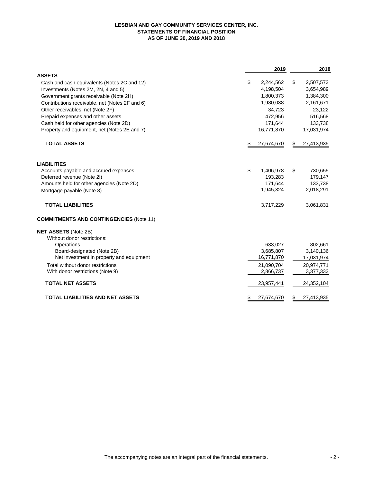#### **LESBIAN AND GAY COMMUNITY SERVICES CENTER, INC. STATEMENTS OF FINANCIAL POSITION AS OF JUNE 30, 2019 AND 2018**

|                                                | 2019            | 2018             |
|------------------------------------------------|-----------------|------------------|
| <b>ASSETS</b>                                  |                 |                  |
| Cash and cash equivalents (Notes 2C and 12)    | \$<br>2,244,562 | \$<br>2,507,573  |
| Investments (Notes 2M, 2N, 4 and 5)            | 4,198,504       | 3,654,989        |
| Government grants receivable (Note 2H)         | 1,800,373       | 1,384,300        |
| Contributions receivable, net (Notes 2F and 6) | 1,980,038       | 2,161,671        |
| Other receivables, net (Note 2F)               | 34,723          | 23,122           |
| Prepaid expenses and other assets              | 472,956         | 516,568          |
| Cash held for other agencies (Note 2D)         | 171,644         | 133,738          |
| Property and equipment, net (Notes 2E and 7)   | 16,771,870      | 17,031,974       |
| <b>TOTAL ASSETS</b>                            | 27,674,670      | \$<br>27,413,935 |
| <b>LIABILITIES</b>                             |                 |                  |
| Accounts payable and accrued expenses          | \$<br>1,406,978 | \$<br>730,655    |
| Deferred revenue (Note 2I)                     | 193,283         | 179,147          |
| Amounts held for other agencies (Note 2D)      | 171,644         | 133,738          |
| Mortgage payable (Note 8)                      | 1,945,324       | 2,018,291        |
| <b>TOTAL LIABILITIES</b>                       | 3,717,229       | 3,061,831        |
| <b>COMMITMENTS AND CONTINGENCIES (Note 11)</b> |                 |                  |
| <b>NET ASSETS (Note 2B)</b>                    |                 |                  |
| Without donor restrictions:                    |                 |                  |
| Operations                                     | 633,027         | 802,661          |
| Board-designated (Note 2B)                     | 3,685,807       | 3,140,136        |
| Net investment in property and equipment       | 16,771,870      | 17,031,974       |
| Total without donor restrictions               | 21,090,704      | 20,974,771       |
| With donor restrictions (Note 9)               | 2,866,737       | 3,377,333        |
| <b>TOTAL NET ASSETS</b>                        | 23,957,441      | 24,352,104       |
| <b>TOTAL LIABILITIES AND NET ASSETS</b>        | 27,674,670      | \$<br>27,413,935 |
|                                                |                 |                  |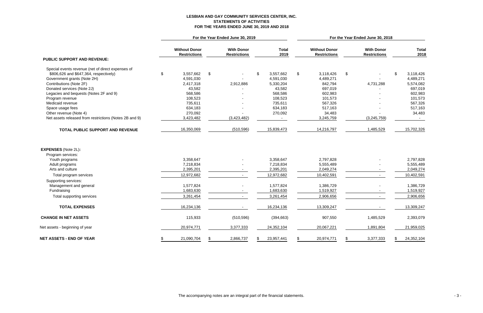# **LESBIAN AND GAY COMMUNITY SERVICES CENTER, INC. STATEMENTS OF ACTIVITIES FOR THE YEARS ENDED JUNE 30, 2019 AND 2018**

|                                                        |                                             | For the Year Ended June 30, 2019 |                                          |    |                      |    | For the Year Ended June 30, 2018            |    |                                          |    |                      |  |  |  |
|--------------------------------------------------------|---------------------------------------------|----------------------------------|------------------------------------------|----|----------------------|----|---------------------------------------------|----|------------------------------------------|----|----------------------|--|--|--|
|                                                        | <b>Without Donor</b><br><b>Restrictions</b> |                                  | <b>With Donor</b><br><b>Restrictions</b> |    | <b>Total</b><br>2019 |    | <b>Without Donor</b><br><b>Restrictions</b> |    | <b>With Donor</b><br><b>Restrictions</b> |    | <b>Total</b><br>2018 |  |  |  |
| <b>PUBLIC SUPPORT AND REVENUE:</b>                     |                                             |                                  |                                          |    |                      |    |                                             |    |                                          |    |                      |  |  |  |
| Special events revenue (net of direct expenses of      |                                             |                                  |                                          |    |                      |    |                                             |    |                                          |    |                      |  |  |  |
| \$806,626 and \$647,364, respectively)                 | \$<br>3,557,662                             | \$                               |                                          | \$ | 3,557,662            | \$ | 3,118,426                                   | \$ |                                          | \$ | 3,118,426            |  |  |  |
| Government grants (Note 2H)                            | 4,591,030                                   |                                  |                                          |    | 4,591,030            |    | 4,489,271                                   |    |                                          |    | 4,489,271            |  |  |  |
| Contributions (Note 2F)                                | 2,417,318                                   |                                  | 2,912,886                                |    | 5,330,204            |    | 842,794                                     |    | 4,731,288                                |    | 5,574,082            |  |  |  |
| Donated services (Note 2J)                             | 43,582                                      |                                  |                                          |    | 43,582               |    | 697,019                                     |    |                                          |    | 697,019              |  |  |  |
| Legacies and bequests (Notes 2F and 9)                 | 568,586                                     |                                  |                                          |    | 568,586              |    | 602,983                                     |    |                                          |    | 602,983              |  |  |  |
| Program revenue                                        | 108,523                                     |                                  |                                          |    | 108,523              |    | 101,573                                     |    |                                          |    | 101,573              |  |  |  |
| Medicaid revenue                                       | 735,611                                     |                                  |                                          |    | 735,611              |    | 567,326                                     |    |                                          |    | 567,326              |  |  |  |
| Space usage fees                                       | 634,183                                     |                                  |                                          |    | 634,183              |    | 517,163                                     |    |                                          |    | 517,163              |  |  |  |
| Other revenue (Note 4)                                 | 270,092                                     |                                  |                                          |    | 270,092              |    | 34,483                                      |    |                                          |    | 34,483               |  |  |  |
| Net assets released from restrictions (Notes 2B and 9) | 3,423,482                                   |                                  | (3,423,482)                              |    |                      |    | 3,245,759                                   |    | (3, 245, 759)                            |    |                      |  |  |  |
| TOTAL PUBLIC SUPPORT AND REVENUE                       | 16,350,069                                  |                                  | (510, 596)                               |    | 15,839,473           |    | 14,216,797                                  |    | 1,485,529                                |    | 15,702,326           |  |  |  |
| <b>EXPENSES</b> (Note 2L):                             |                                             |                                  |                                          |    |                      |    |                                             |    |                                          |    |                      |  |  |  |
| Program services:<br>Youth programs                    | 3,358,647                                   |                                  |                                          |    | 3,358,647            |    | 2,797,828                                   |    |                                          |    | 2,797,828            |  |  |  |
| Adult programs                                         | 7,218,834                                   |                                  |                                          |    | 7,218,834            |    | 5,555,489                                   |    |                                          |    | 5,555,489            |  |  |  |
| Arts and culture                                       | 2,395,201                                   |                                  |                                          |    | 2,395,201            |    | 2,049,274                                   |    |                                          |    | 2,049,274            |  |  |  |
|                                                        |                                             |                                  |                                          |    |                      |    |                                             |    |                                          |    |                      |  |  |  |
| Total program services                                 | 12,972,682                                  |                                  |                                          |    | 12,972,682           |    | 10,402,591                                  |    |                                          |    | 10,402,591           |  |  |  |
| Supporting services:                                   |                                             |                                  |                                          |    |                      |    |                                             |    |                                          |    |                      |  |  |  |
| Management and general                                 | 1,577,824                                   |                                  |                                          |    | 1,577,824            |    | 1,386,729                                   |    |                                          |    | 1,386,729            |  |  |  |
| Fundraising                                            | 1,683,630                                   |                                  |                                          |    | 1,683,630            |    | 1,519,927                                   |    |                                          |    | 1,519,927            |  |  |  |
| Total supporting services                              | 3,261,454                                   |                                  |                                          |    | 3,261,454            |    | 2,906,656                                   |    |                                          |    | 2,906,656            |  |  |  |
| <b>TOTAL EXPENSES</b>                                  | 16,234,136                                  |                                  |                                          |    | 16,234,136           |    | 13,309,247                                  |    |                                          |    | 13,309,247           |  |  |  |
| <b>CHANGE IN NET ASSETS</b>                            | 115,933                                     |                                  | (510, 596)                               |    | (394, 663)           |    | 907,550                                     |    | 1,485,529                                |    | 2,393,079            |  |  |  |
| Net assets - beginning of year                         | 20,974,771                                  |                                  | 3,377,333                                |    | 24,352,104           |    | 20,067,221                                  |    | 1,891,804                                |    | 21,959,025           |  |  |  |
| <b>NET ASSETS - END OF YEAR</b>                        | 21,090,704                                  |                                  | 2,866,737                                |    | 23,957,441           |    | 20,974,771                                  |    | 3,377,333                                |    | 24,352,104           |  |  |  |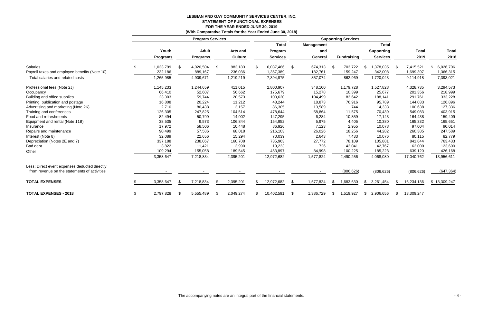# **LESBIAN AND GAY COMMUNITY SERVICES CENTER, INC. STATEMENT OF FUNCTIONAL EXPENSES FOR THE YEAR ENDED JUNE 30, 2019**

|                                               |                 |    |                         |    | (With Comparative Totals for the Year Ended June 30, 2018) |                 |    |                   |      |                            |    |                   |    |              |              |
|-----------------------------------------------|-----------------|----|-------------------------|----|------------------------------------------------------------|-----------------|----|-------------------|------|----------------------------|----|-------------------|----|--------------|--------------|
|                                               |                 |    | <b>Program Services</b> |    |                                                            |                 |    |                   |      | <b>Supporting Services</b> |    |                   |    |              |              |
|                                               |                 |    |                         |    |                                                            | <b>Total</b>    |    | <b>Management</b> |      |                            |    | <b>Total</b>      |    |              |              |
|                                               | Youth           |    | <b>Adult</b>            |    | Arts and                                                   | Program         |    | and               |      |                            |    | <b>Supporting</b> |    | <b>Total</b> | <b>Total</b> |
|                                               | <b>Programs</b> |    | <b>Programs</b>         |    | <b>Culture</b>                                             | <b>Services</b> |    | General           |      | <b>Fundraising</b>         |    | <b>Services</b>   |    | 2019         | 2018         |
| <b>Salaries</b>                               | \$<br>1,033,799 | S. | 4,020,504               | \$ | 983,183                                                    | 6,037,486       | \$ | 674,313           | - \$ | 703,722                    | \$ | 378,035,          |    | 7,415,521    | 6,026,706    |
| Payroll taxes and employee benefits (Note 10) | 232,186         |    | 889,167                 |    | 236,036                                                    | 1,357,389       |    | 182,761           |      | 159,247                    |    | 342,008           |    | 1,699,397    | 1,366,315    |
| Total salaries and related costs              | 1,265,985       |    | 4,909,671               |    | 1,219,219                                                  | 7,394,875       |    | 857,074           |      | 862,969                    |    | 1,720,043         |    | 9,114,918    | 7,393,021    |
| Professional fees (Note 2J)                   | 1,145,233       |    | 1,244,659               |    | 411,015                                                    | 2,800,907       |    | 348,100           |      | 1,179,728                  |    | 1,527,828         |    | 4,328,735    | 3,294,573    |
| Occupancy                                     | 66,410          |    | 52,607                  |    | 56,662                                                     | 175,679         |    | 15,278            |      | 10,399                     |    | 25,677            |    | 201,356      | 218,999      |
| Building and office supplies                  | 23,303          |    | 59,744                  |    | 20,573                                                     | 103,620         |    | 104,499           |      | 83,642                     |    | 188,141           |    | 291,761      | 333,228      |
| Printing, publication and postage             | 16,808          |    | 20,224                  |    | 11,212                                                     | 48,244          |    | 18,873            |      | 76,916                     |    | 95,789            |    | 144,033      | 126,896      |
| Advertising and marketing (Note 2K)           | 2,710           |    | 80,438                  |    | 3,157                                                      | 86,305          |    | 13,589            |      | 744                        |    | 14,333            |    | 100,638      | 127,336      |
| Training and conferences                      | 126,305         |    | 247,825                 |    | 104,514                                                    | 478,644         |    | 58,864            |      | 11,575                     |    | 70,439            |    | 549,083      | 403,915      |
| Food and refreshments                         | 82,494          |    | 50,799                  |    | 14,002                                                     | 147,295         |    | 6,284             |      | 10,859                     |    | 17,143            |    | 164,438      | 159,409      |
| Equipment and rental (Note 11B)               | 38,535          |    | 9,573                   |    | 106,844                                                    | 154,952         |    | 5,975             |      | 4,405                      |    | 10,380            |    | 165,332      | 165,651      |
| Insurance                                     | 17,972          |    | 58,506                  |    | 10,448                                                     | 86,926          |    | 7,123             |      | 2,955                      |    | 10,078            |    | 97,004       | 90,014       |
| Repairs and maintenance                       | 90,499          |    | 57,586                  |    | 68,018                                                     | 216,103         |    | 26,026            |      | 18,256                     |    | 44,282            |    | 260,385      | 247,589      |
| Interest (Note 8)                             | 32,089          |    | 22,656                  |    | 15,294                                                     | 70,039          |    | 2,643             |      | 7,433                      |    | 10,076            |    | 80,115       | 82,779       |
| Depreciation (Notes 2E and 7)                 | 337,188         |    | 238,067                 |    | 160,708                                                    | 735,963         |    | 27,772            |      | 78,109                     |    | 105,881           |    | 841,844      | 763,433      |
| Bad debt                                      | 3,822           |    | 11,421                  |    | 3,990                                                      | 19,233          |    | 726               |      | 42,041                     |    | 42,767            |    | 62,000       | 123,600      |
| Other                                         | 109,294         |    | 155,058                 |    | 189,545                                                    | 453,897         |    | 84,998            |      | 100,225                    |    | 185,223           |    | 639,120      | 426,168      |
|                                               | 3,358,647       |    | 7,218,834               |    | 2,395,201                                                  | 12,972,682      |    | 1,577,824         |      | 2,490,256                  |    | 4,068,080         |    | 17,040,762   | 13,956,611   |
| Less: Direct event expenses deducted directly |                 |    |                         |    |                                                            |                 |    |                   |      |                            |    |                   |    |              |              |
| from revenue on the statements of activities  |                 |    |                         |    |                                                            |                 |    |                   |      | (806, 626)                 |    | (806, 626)        |    | (806, 626)   | (647, 364)   |
| <b>TOTAL EXPENSES</b>                         | 3,358,647       |    | 7,218,834               | £. | 2,395,201                                                  | 12,972,682      | -S | 1,577,824         | \$   | 1,683,630                  | S. | 3,261,454         |    | 16,234,136   | \$13,309,247 |
| <b>TOTAL EXPENSES - 2018</b>                  | 2,797,828       |    | 5,555,489               |    | 2,049,274                                                  | 10,402,591      |    | 1,386,729         | \$   | 1,519,927                  | \$ | 2,906,656         | S. | 13,309,247   |              |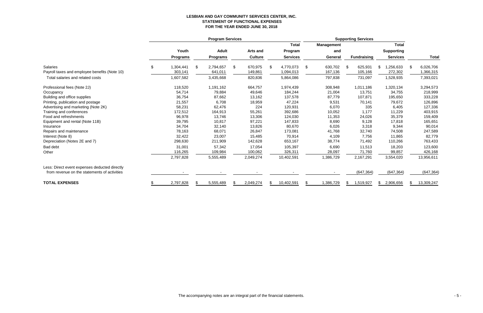# **LESBIAN AND GAY COMMUNITY SERVICES CENTER, INC. STATEMENT OF FUNCTIONAL EXPENSES FOR THE YEAR ENDED JUNE 30, 2018**

|                                               | <b>Program Services</b> |    |                 |    |                 |     |                 | <b>Supporting Services</b> |                   |    |                    |    |                   |     |              |
|-----------------------------------------------|-------------------------|----|-----------------|----|-----------------|-----|-----------------|----------------------------|-------------------|----|--------------------|----|-------------------|-----|--------------|
|                                               |                         |    |                 |    |                 |     | <b>Total</b>    |                            | <b>Management</b> |    |                    |    | <b>Total</b>      |     |              |
|                                               | Youth                   |    | <b>Adult</b>    |    | <b>Arts and</b> |     | Program         |                            | and               |    |                    |    | <b>Supporting</b> |     |              |
|                                               | <b>Programs</b>         |    | <b>Programs</b> |    | <b>Culture</b>  |     | <b>Services</b> |                            | General           |    | <b>Fundraising</b> |    | <b>Services</b>   |     | <b>Total</b> |
| <b>Salaries</b>                               | 1,304,441               | \$ | 2,794,657       | \$ | 670,975         | \$  | 4,770,073       | \$                         | 630,702           | \$ | 625,931            | S  | 1,256,633         | \$  | 6,026,706    |
| Payroll taxes and employee benefits (Note 10) | 303,141                 |    | 641,011         |    | 149,861         |     | 1,094,013       |                            | 167,136           |    | 105,166            |    | 272,302           |     | 366,315      |
| Total salaries and related costs              | 1,607,582               |    | 3,435,668       |    | 820,836         |     | 5,864,086       |                            | 797,838           |    | 731,097            |    | 1,528,935         |     | 7,393,021    |
| Professional fees (Note 2J)                   | 118,520                 |    | 1,191,162       |    | 664,757         |     | 1,974,439       |                            | 308,948           |    | 1,011,186          |    | 1,320,134         |     | 3,294,573    |
| Occupancy                                     | 54,714                  |    | 79,884          |    | 49,646          |     | 184,244         |                            | 21,004            |    | 13,751             |    | 34,755            |     | 218,999      |
| Building and office supplies                  | 36,754                  |    | 87,662          |    | 13,162          |     | 137,578         |                            | 87,779            |    | 107,871            |    | 195,650           |     | 333,228      |
| Printing, publication and postage             | 21,557                  |    | 6,708           |    | 18,959          |     | 47,224          |                            | 9,531             |    | 70,141             |    | 79,672            |     | 126,896      |
| Advertising and marketing (Note 2K)           | 58,231                  |    | 62,476          |    | 224             |     | 120,931         |                            | 6,070             |    | 335                |    | 6,405             |     | 127,336      |
| Training and conferences                      | 172,512                 |    | 164,913         |    | 55,261          |     | 392,686         |                            | 10,052            |    | 1,177              |    | 11,229            |     | 403,915      |
| Food and refreshments                         | 96,978                  |    | 13,746          |    | 13,306          |     | 124,030         |                            | 11,353            |    | 24,026             |    | 35,379            |     | 159,409      |
| Equipment and rental (Note 11B)               | 39,795                  |    | 10,817          |    | 97,221          |     | 147,833         |                            | 8,690             |    | 9,128              |    | 17,818            |     | 165,651      |
| Insurance                                     | 34,704                  |    | 32,140          |    | 13,826          |     | 80,670          |                            | 6,026             |    | 3,318              |    | 9,344             |     | 90,014       |
| Repairs and maintenance                       | 78,163                  |    | 68,071          |    | 26,847          |     | 173,081         |                            | 41,768            |    | 32,740             |    | 74,508            |     | 247,589      |
| Interest (Note 8)                             | 32,422                  |    | 23,007          |    | 15,485          |     | 70,914          |                            | 4,109             |    | 7,756              |    | 11,865            |     | 82,779       |
| Depreciation (Notes 2E and 7)                 | 298,630                 |    | 211,909         |    | 142,628         |     | 653,167         |                            | 38,774            |    | 71,492             |    | 110,266           |     | 763,433      |
| Bad debt                                      | 31,001                  |    | 57,342          |    | 17,054          |     | 105,397         |                            | 6,690             |    | 11,513             |    | 18,203            |     | 123,600      |
| Other                                         | 116,265                 |    | 109,984         |    | 100,062         |     | 326,311         |                            | 28,097            |    | 71,760             |    | 99,857            |     | 426,168      |
|                                               | 2,797,828               |    | 5,555,489       |    | 2,049,274       |     | 10,402,591      |                            | 1,386,729         |    | 2,167,291          |    | 3,554,020         |     | 13,956,611   |
| Less: Direct event expenses deducted directly |                         |    |                 |    |                 |     |                 |                            |                   |    |                    |    |                   |     |              |
| from revenue on the statements of activities  |                         |    |                 |    |                 |     |                 |                            |                   |    | (647, 364)         |    | (647, 364)        |     | (647, 364)   |
| <b>TOTAL EXPENSES</b>                         | 2,797,828               | £. | 5,555,489       |    | 2,049,274       | \$. | 10,402,591      |                            | 1,386,729         | £. | 1,519,927          | \$ | 2,906,656         | \$. | 13,309,247   |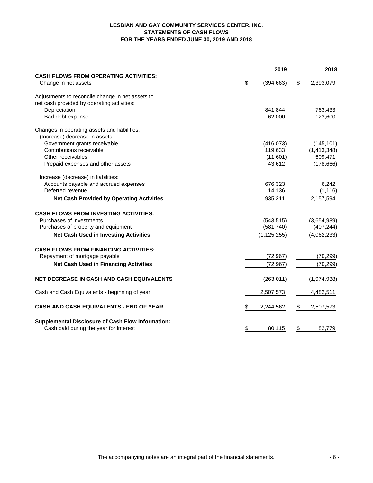# **LESBIAN AND GAY COMMUNITY SERVICES CENTER, INC. STATEMENTS OF CASH FLOWS FOR THE YEARS ENDED JUNE 30, 2019 AND 2018**

|                                                                      |           | 2019          | 2018 |             |  |
|----------------------------------------------------------------------|-----------|---------------|------|-------------|--|
| <b>CASH FLOWS FROM OPERATING ACTIVITIES:</b><br>Change in net assets | \$        | (394, 663)    | \$   | 2,393,079   |  |
| Adjustments to reconcile change in net assets to                     |           |               |      |             |  |
| net cash provided by operating activities:                           |           |               |      |             |  |
| Depreciation                                                         |           | 841,844       |      | 763,433     |  |
| Bad debt expense                                                     |           | 62,000        |      | 123,600     |  |
| Changes in operating assets and liabilities:                         |           |               |      |             |  |
| (Increase) decrease in assets:                                       |           |               |      |             |  |
| Government grants receivable                                         |           | (416, 073)    |      | (145, 101)  |  |
| Contributions receivable                                             |           | 119,633       |      | (1,413,348) |  |
| Other receivables                                                    |           | (11,601)      |      | 609,471     |  |
| Prepaid expenses and other assets                                    |           | 43,612        |      | (178, 666)  |  |
| Increase (decrease) in liabilities:                                  |           |               |      |             |  |
| Accounts payable and accrued expenses                                |           | 676,323       |      | 6,242       |  |
| Deferred revenue                                                     |           | 14,136        |      | (1, 116)    |  |
| <b>Net Cash Provided by Operating Activities</b>                     |           | 935,211       |      | 2,157,594   |  |
| <b>CASH FLOWS FROM INVESTING ACTIVITIES:</b>                         |           |               |      |             |  |
| Purchases of investments                                             |           | (543, 515)    |      | (3,654,989) |  |
| Purchases of property and equipment                                  |           | (581, 740)    |      | (407, 244)  |  |
| <b>Net Cash Used in Investing Activities</b>                         |           | (1, 125, 255) |      | (4,062,233) |  |
| <b>CASH FLOWS FROM FINANCING ACTIVITIES:</b>                         |           |               |      |             |  |
| Repayment of mortgage payable                                        |           | (72, 967)     |      | (70, 299)   |  |
| <b>Net Cash Used in Financing Activities</b>                         |           | (72, 967)     |      | (70, 299)   |  |
| <b>NET DECREASE IN CASH AND CASH EQUIVALENTS</b>                     |           | (263, 011)    |      | (1,974,938) |  |
| Cash and Cash Equivalents - beginning of year                        |           | 2,507,573     |      | 4,482,511   |  |
| <b>CASH AND CASH EQUIVALENTS - END OF YEAR</b>                       | \$        | 2,244,562     | \$   | 2,507,573   |  |
| <b>Supplemental Disclosure of Cash Flow Information:</b>             |           |               |      |             |  |
| Cash paid during the year for interest                               | <u>\$</u> | 80,115        | \$   | 82,779      |  |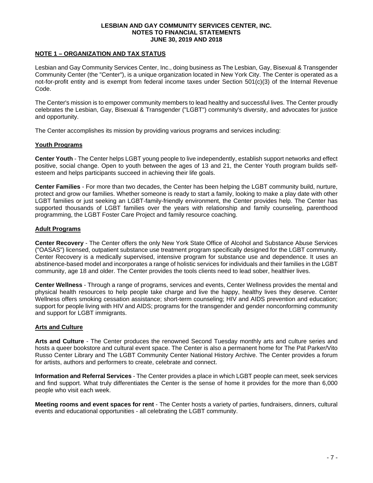# **NOTE 1 – ORGANIZATION AND TAX STATUS**

Lesbian and Gay Community Services Center, Inc., doing business as The Lesbian, Gay, Bisexual & Transgender Community Center (the "Center"), is a unique organization located in New York City. The Center is operated as a not-for-profit entity and is exempt from federal income taxes under Section 501(c)(3) of the Internal Revenue Code.

The Center's mission is to empower community members to lead healthy and successful lives. The Center proudly celebrates the Lesbian, Gay, Bisexual & Transgender ("LGBT") community's diversity, and advocates for justice and opportunity.

The Center accomplishes its mission by providing various programs and services including:

# **Youth Programs**

**Center Youth** - The Center helps LGBT young people to live independently, establish support networks and effect positive, social change. Open to youth between the ages of 13 and 21, the Center Youth program builds selfesteem and helps participants succeed in achieving their life goals.

**Center Families** - For more than two decades, the Center has been helping the LGBT community build, nurture, protect and grow our families. Whether someone is ready to start a family, looking to make a play date with other LGBT families or just seeking an LGBT-family-friendly environment, the Center provides help. The Center has supported thousands of LGBT families over the years with relationship and family counseling, parenthood programming, the LGBT Foster Care Project and family resource coaching.

# **Adult Programs**

**Center Recovery** - The Center offers the only New York State Office of Alcohol and Substance Abuse Services ("OASAS") licensed, outpatient substance use treatment program specifically designed for the LGBT community. Center Recovery is a medically supervised, intensive program for substance use and dependence. It uses an abstinence-based model and incorporates a range of holistic services for individuals and their families in the LGBT community, age 18 and older. The Center provides the tools clients need to lead sober, healthier lives.

**Center Wellness** - Through a range of programs, services and events, Center Wellness provides the mental and physical health resources to help people take charge and live the happy, healthy lives they deserve. Center Wellness offers smoking cessation assistance; short-term counseling; HIV and AIDS prevention and education; support for people living with HIV and AIDS; programs for the transgender and gender nonconforming community and support for LGBT immigrants.

# **Arts and Culture**

**Arts and Culture** - The Center produces the renowned Second Tuesday monthly arts and culture series and hosts a queer bookstore and cultural event space. The Center is also a permanent home for The Pat Parker/Vito Russo Center Library and The LGBT Community Center National History Archive. The Center provides a forum for artists, authors and performers to create, celebrate and connect.

**Information and Referral Services** - The Center provides a place in which LGBT people can meet, seek services and find support. What truly differentiates the Center is the sense of home it provides for the more than 6,000 people who visit each week.

**Meeting rooms and event spaces for rent** - The Center hosts a variety of parties, fundraisers, dinners, cultural events and educational opportunities - all celebrating the LGBT community.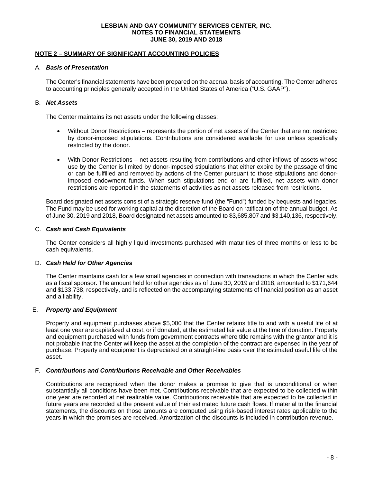# **NOTE 2 – SUMMARY OF SIGNIFICANT ACCOUNTING POLICIES**

#### A. *Basis of Presentation*

The Center's financial statements have been prepared on the accrual basis of accounting. The Center adheres to accounting principles generally accepted in the United States of America ("U.S. GAAP").

# B. *Net Assets*

The Center maintains its net assets under the following classes:

- Without Donor Restrictions represents the portion of net assets of the Center that are not restricted by donor-imposed stipulations. Contributions are considered available for use unless specifically restricted by the donor.
- With Donor Restrictions net assets resulting from contributions and other inflows of assets whose use by the Center is limited by donor-imposed stipulations that either expire by the passage of time or can be fulfilled and removed by actions of the Center pursuant to those stipulations and donorimposed endowment funds. When such stipulations end or are fulfilled, net assets with donor restrictions are reported in the statements of activities as net assets released from restrictions.

Board designated net assets consist of a strategic reserve fund (the "Fund") funded by bequests and legacies. The Fund may be used for working capital at the discretion of the Board on ratification of the annual budget. As of June 30, 2019 and 2018, Board designated net assets amounted to \$3,685,807 and \$3,140,136, respectively.

# C. *Cash and Cash Equivalents*

The Center considers all highly liquid investments purchased with maturities of three months or less to be cash equivalents.

# D. *Cash Held for Other Agencies*

The Center maintains cash for a few small agencies in connection with transactions in which the Center acts as a fiscal sponsor. The amount held for other agencies as of June 30, 2019 and 2018, amounted to \$171,644 and \$133,738, respectively, and is reflected on the accompanying statements of financial position as an asset and a liability.

#### E. *Property and Equipment*

Property and equipment purchases above \$5,000 that the Center retains title to and with a useful life of at least one year are capitalized at cost, or if donated, at the estimated fair value at the time of donation. Property and equipment purchased with funds from government contracts where title remains with the grantor and it is not probable that the Center will keep the asset at the completion of the contract are expensed in the year of purchase. Property and equipment is depreciated on a straight-line basis over the estimated useful life of the asset.

#### F. *Contributions and Contributions Receivable and Other Receivables*

Contributions are recognized when the donor makes a promise to give that is unconditional or when substantially all conditions have been met. Contributions receivable that are expected to be collected within one year are recorded at net realizable value. Contributions receivable that are expected to be collected in future years are recorded at the present value of their estimated future cash flows. If material to the financial statements, the discounts on those amounts are computed using risk-based interest rates applicable to the years in which the promises are received. Amortization of the discounts is included in contribution revenue.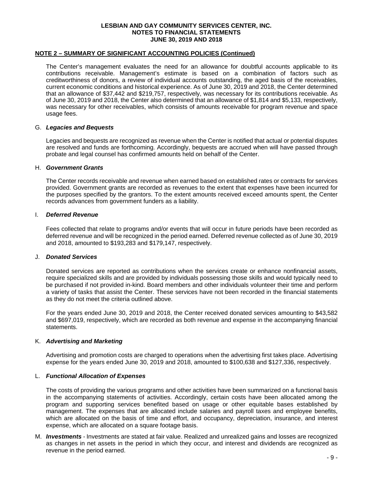#### **NOTE 2 – SUMMARY OF SIGNIFICANT ACCOUNTING POLICIES (Continued)**

The Center's management evaluates the need for an allowance for doubtful accounts applicable to its contributions receivable. Management's estimate is based on a combination of factors such as creditworthiness of donors, a review of individual accounts outstanding, the aged basis of the receivables, current economic conditions and historical experience. As of June 30, 2019 and 2018, the Center determined that an allowance of \$37,442 and \$219,757, respectively, was necessary for its contributions receivable. As of June 30, 2019 and 2018, the Center also determined that an allowance of \$1,814 and \$5,133, respectively, was necessary for other receivables, which consists of amounts receivable for program revenue and space usage fees.

#### G. *Legacies and Bequests*

Legacies and bequests are recognized as revenue when the Center is notified that actual or potential disputes are resolved and funds are forthcoming. Accordingly, bequests are accrued when will have passed through probate and legal counsel has confirmed amounts held on behalf of the Center.

#### H. *Government Grants*

The Center records receivable and revenue when earned based on established rates or contracts for services provided. Government grants are recorded as revenues to the extent that expenses have been incurred for the purposes specified by the grantors. To the extent amounts received exceed amounts spent, the Center records advances from government funders as a liability.

#### I. *Deferred Revenue*

Fees collected that relate to programs and/or events that will occur in future periods have been recorded as deferred revenue and will be recognized in the period earned. Deferred revenue collected as of June 30, 2019 and 2018, amounted to \$193,283 and \$179,147, respectively.

### J. *Donated Services*

Donated services are reported as contributions when the services create or enhance nonfinancial assets, require specialized skills and are provided by individuals possessing those skills and would typically need to be purchased if not provided in-kind. Board members and other individuals volunteer their time and perform a variety of tasks that assist the Center. These services have not been recorded in the financial statements as they do not meet the criteria outlined above.

For the years ended June 30, 2019 and 2018, the Center received donated services amounting to \$43,582 and \$697,019, respectively, which are recorded as both revenue and expense in the accompanying financial statements.

#### K. *Advertising and Marketing*

Advertising and promotion costs are charged to operations when the advertising first takes place. Advertising expense for the years ended June 30, 2019 and 2018, amounted to \$100,638 and \$127,336, respectively.

#### L. *Functional Allocation of Expenses*

The costs of providing the various programs and other activities have been summarized on a functional basis in the accompanying statements of activities. Accordingly, certain costs have been allocated among the program and supporting services benefited based on usage or other equitable bases established by management. The expenses that are allocated include salaries and payroll taxes and employee benefits, which are allocated on the basis of time and effort, and occupancy, depreciation, insurance, and interest expense, which are allocated on a square footage basis.

M. *Investments -* Investments are stated at fair value. Realized and unrealized gains and losses are recognized as changes in net assets in the period in which they occur, and interest and dividends are recognized as revenue in the period earned.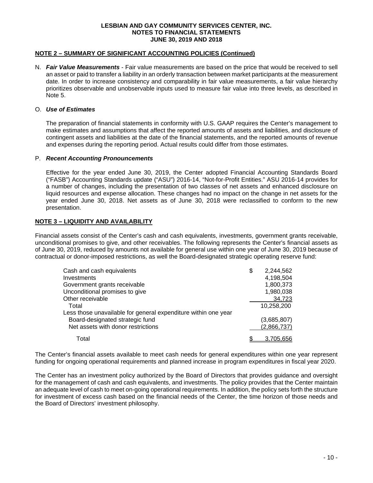# **NOTE 2 – SUMMARY OF SIGNIFICANT ACCOUNTING POLICIES (Continued)**

N. *Fair Value Measurements* - Fair value measurements are based on the price that would be received to sell an asset or paid to transfer a liability in an orderly transaction between market participants at the measurement date. In order to increase consistency and comparability in fair value measurements, a fair value hierarchy prioritizes observable and unobservable inputs used to measure fair value into three levels, as described in Note 5.

#### O. *Use of Estimates*

The preparation of financial statements in conformity with U.S. GAAP requires the Center's management to make estimates and assumptions that affect the reported amounts of assets and liabilities, and disclosure of contingent assets and liabilities at the date of the financial statements, and the reported amounts of revenue and expenses during the reporting period. Actual results could differ from those estimates.

#### P. *Recent Accounting Pronouncements*

Effective for the year ended June 30, 2019, the Center adopted Financial Accounting Standards Board ("FASB") Accounting Standards update ("ASU") 2016-14, "Not-for-Profit Entities." ASU 2016-14 provides for a number of changes, including the presentation of two classes of net assets and enhanced disclosure on liquid resources and expense allocation. These changes had no impact on the change in net assets for the year ended June 30, 2018. Net assets as of June 30, 2018 were reclassified to conform to the new presentation.

# **NOTE 3 – LIQUIDITY AND AVAILABILITY**

Financial assets consist of the Center's cash and cash equivalents, investments, government grants receivable, unconditional promises to give, and other receivables. The following represents the Center's financial assets as of June 30, 2019, reduced by amounts not available for general use within one year of June 30, 2019 because of contractual or donor-imposed restrictions, as well the Board-designated strategic operating reserve fund:

| Cash and cash equivalents                                      | \$<br>2,244,562 |
|----------------------------------------------------------------|-----------------|
| Investments                                                    | 4,198,504       |
| Government grants receivable                                   | 1,800,373       |
| Unconditional promises to give                                 | 1,980,038       |
| Other receivable                                               | 34,723          |
| Total                                                          | 10,258,200      |
| Less those unavailable for general expenditure within one year |                 |
| Board-designated strategic fund                                | (3,685,807)     |
| Net assets with donor restrictions                             | (2,866,737)     |
| Total                                                          | 3,705,656       |

The Center's financial assets available to meet cash needs for general expenditures within one year represent funding for ongoing operational requirements and planned increase in program expenditures in fiscal year 2020.

The Center has an investment policy authorized by the Board of Directors that provides guidance and oversight for the management of cash and cash equivalents, and investments. The policy provides that the Center maintain an adequate level of cash to meet on-going operational requirements. In addition, the policy sets forth the structure for investment of excess cash based on the financial needs of the Center, the time horizon of those needs and the Board of Directors' investment philosophy.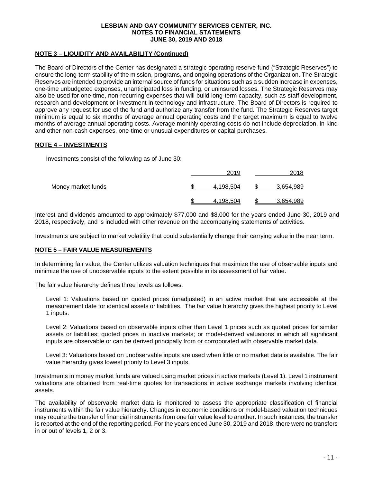# **NOTE 3 – LIQUIDITY AND AVAILABILITY (Continued)**

The Board of Directors of the Center has designated a strategic operating reserve fund ("Strategic Reserves") to ensure the long-term stability of the mission, programs, and ongoing operations of the Organization. The Strategic Reserves are intended to provide an internal source of funds for situations such as a sudden increase in expenses, one-time unbudgeted expenses, unanticipated loss in funding, or uninsured losses. The Strategic Reserves may also be used for one-time, non-recurring expenses that will build long-term capacity, such as staff development, research and development or investment in technology and infrastructure. The Board of Directors is required to approve any request for use of the fund and authorize any transfer from the fund. The Strategic Reserves target minimum is equal to six months of average annual operating costs and the target maximum is equal to twelve months of average annual operating costs. Average monthly operating costs do not include depreciation, in-kind and other non-cash expenses, one-time or unusual expenditures or capital purchases.

# **NOTE 4 – INVESTMENTS**

Investments consist of the following as of June 30:

|                    | 2019      | 2018      |
|--------------------|-----------|-----------|
| Money market funds | 4,198,504 | 3,654,989 |
|                    | 4.198.504 | 3.654.989 |

Interest and dividends amounted to approximately \$77,000 and \$8,000 for the years ended June 30, 2019 and 2018, respectively, and is included with other revenue on the accompanying statements of activities.

Investments are subject to market volatility that could substantially change their carrying value in the near term.

# **NOTE 5 – FAIR VALUE MEASUREMENTS**

In determining fair value, the Center utilizes valuation techniques that maximize the use of observable inputs and minimize the use of unobservable inputs to the extent possible in its assessment of fair value.

The fair value hierarchy defines three levels as follows:

Level 1: Valuations based on quoted prices (unadjusted) in an active market that are accessible at the measurement date for identical assets or liabilities. The fair value hierarchy gives the highest priority to Level 1 inputs.

Level 2: Valuations based on observable inputs other than Level 1 prices such as quoted prices for similar assets or liabilities; quoted prices in inactive markets; or model-derived valuations in which all significant inputs are observable or can be derived principally from or corroborated with observable market data.

Level 3: Valuations based on unobservable inputs are used when little or no market data is available. The fair value hierarchy gives lowest priority to Level 3 inputs.

Investments in money market funds are valued using market prices in active markets (Level 1). Level 1 instrument valuations are obtained from real-time quotes for transactions in active exchange markets involving identical assets.

The availability of observable market data is monitored to assess the appropriate classification of financial instruments within the fair value hierarchy. Changes in economic conditions or model-based valuation techniques may require the transfer of financial instruments from one fair value level to another. In such instances, the transfer is reported at the end of the reporting period. For the years ended June 30, 2019 and 2018, there were no transfers in or out of levels 1, 2 or 3.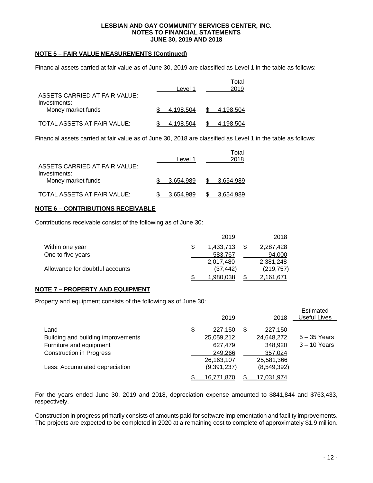# **NOTE 5 – FAIR VALUE MEASUREMENTS (Continued)**

Financial assets carried at fair value as of June 30, 2019 are classified as Level 1 in the table as follows:

| ASSETS CARRIED AT FAIR VALUE:      | Level 1   |     | Total<br>2019 |
|------------------------------------|-----------|-----|---------------|
| Investments:<br>Money market funds | 4.198.504 | SS. | 4.198.504     |
| TOTAL ASSETS AT FAIR VALUE:        | 4.198.504 |     | 4,198,504     |

Financial assets carried at fair value as of June 30, 2018 are classified as Level 1 in the table as follows:

| ASSETS CARRIED AT FAIR VALUE:      | Level 1   |    | Total<br>2018 |
|------------------------------------|-----------|----|---------------|
| Investments:<br>Money market funds | 3.654.989 | S. | 3,654,989     |
| TOTAL ASSETS AT FAIR VALUE:        | 3.654.989 |    | 3.654.989     |

### **NOTE 6 – CONTRIBUTIONS RECEIVABLE**

Contributions receivable consist of the following as of June 30:

|                                 | 2019             | 2018       |
|---------------------------------|------------------|------------|
| Within one year                 | 1.433.713        | 2,287,428  |
| One to five years               | 583,767          | 94,000     |
|                                 | 2,017,480        | 2.381.248  |
| Allowance for doubtful accounts | (37.442)         | (219, 757) |
|                                 | <u>1,980,038</u> | 2,161,671  |

#### **NOTE 7 – PROPERTY AND EQUIPMENT**

Property and equipment consists of the following as of June 30:

|                                    | 2019          |   | 2018        | Estimated<br><b>Useful Lives</b> |
|------------------------------------|---------------|---|-------------|----------------------------------|
| Land                               | \$<br>227,150 | S | 227,150     |                                  |
| Building and building improvements | 25,059,212    |   | 24,648,272  | $5 - 35$ Years                   |
| Furniture and equipment            | 627,479       |   | 348,920     | $3 - 10$ Years                   |
| <b>Construction in Progress</b>    | 249,266       |   | 357,024     |                                  |
|                                    | 26,163,107    |   | 25,581,366  |                                  |
| Less: Accumulated depreciation     | (9,391,237)   |   | (8,549,392) |                                  |
|                                    | 16,771,870    |   | 17,031,974  |                                  |

For the years ended June 30, 2019 and 2018, depreciation expense amounted to \$841,844 and \$763,433, respectively.

Construction in progress primarily consists of amounts paid for software implementation and facility improvements. The projects are expected to be completed in 2020 at a remaining cost to complete of approximately \$1.9 million.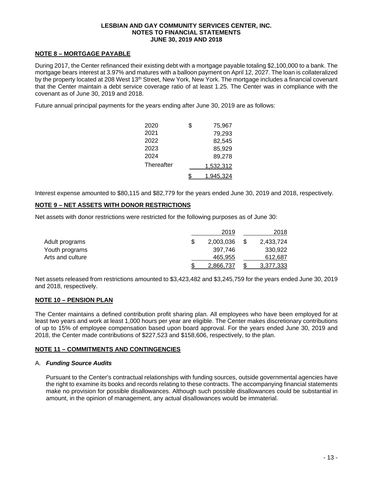# **NOTE 8 – MORTGAGE PAYABLE**

During 2017, the Center refinanced their existing debt with a mortgage payable totaling \$2,100,000 to a bank. The mortgage bears interest at 3.97% and matures with a balloon payment on April 12, 2027. The loan is collateralized by the property located at 208 West 13<sup>th</sup> Street, New York, New York. The mortgage includes a financial covenant that the Center maintain a debt service coverage ratio of at least 1.25. The Center was in compliance with the covenant as of June 30, 2019 and 2018.

Future annual principal payments for the years ending after June 30, 2019 are as follows:

| \$<br>75.967 |
|--------------|
| 79,293       |
| 82,545       |
| 85,929       |
| 89,278       |
| 1,532,312    |
| 1,945,324    |
|              |

Interest expense amounted to \$80,115 and \$82,779 for the years ended June 30, 2019 and 2018, respectively.

# **NOTE 9 – NET ASSETS WITH DONOR RESTRICTIONS**

Net assets with donor restrictions were restricted for the following purposes as of June 30:

|                  | 2019      | 2018      |
|------------------|-----------|-----------|
| Adult programs   | 2,003,036 | 2,433,724 |
| Youth programs   | 397.746   | 330.922   |
| Arts and culture | 465,955   | 612,687   |
|                  | 2.866.737 | 3.377.333 |

Net assets released from restrictions amounted to \$3,423,482 and \$3,245,759 for the years ended June 30, 2019 and 2018, respectively.

#### **NOTE 10 – PENSION PLAN**

The Center maintains a defined contribution profit sharing plan. All employees who have been employed for at least two years and work at least 1,000 hours per year are eligible. The Center makes discretionary contributions of up to 15% of employee compensation based upon board approval. For the years ended June 30, 2019 and 2018, the Center made contributions of \$227,523 and \$158,606, respectively, to the plan.

# **NOTE 11 – COMMITMENTS AND CONTINGENCIES**

#### A. *Funding Source Audits*

Pursuant to the Center's contractual relationships with funding sources, outside governmental agencies have the right to examine its books and records relating to these contracts. The accompanying financial statements make no provision for possible disallowances. Although such possible disallowances could be substantial in amount, in the opinion of management, any actual disallowances would be immaterial.